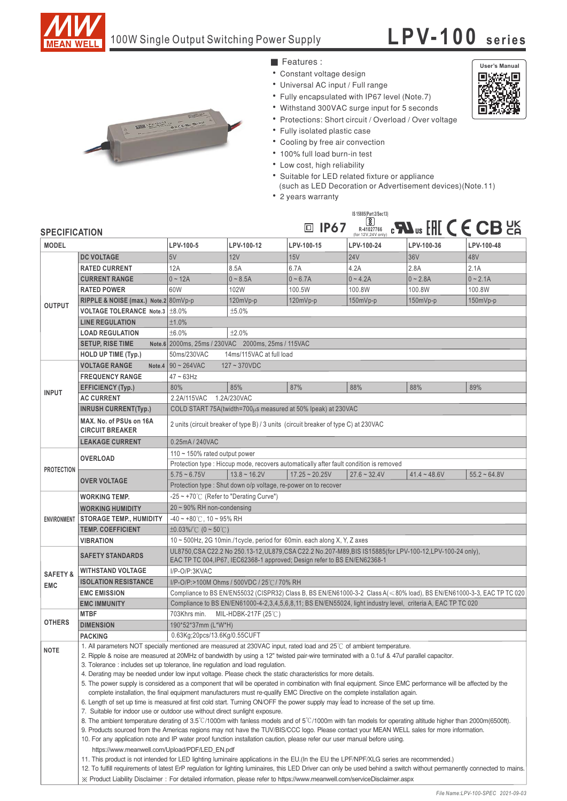

### 100W Single Output Switching Power Supply

# **LPV-100 series**

User's Manual<br>**External** 涵

 $\Box$ 



■ Features :

- Constant voltage design
- Universal AC input / Full range
- Fully encapsulated with IP67 level (Note.7)
- Withstand 300VAC surge input for 5 seconds
- Protections: Short circuit / Overload / Over voltage
- Fully isolated plastic case
- Cooling by free air convection
- 100% full load burn-in test
- Low cost, high reliability
- Suitable for LED related fixture or appliance
- (such as LED Decoration or Advertisement devices)(Note.11) • 2 years warranty

#### **IP67 IS 15885(Part 2/Sec13)** لاھا<br>R-41027766 (for 12V,24V only)

### **SPECIFICATION**

| יוטו ובאו ווט⊾ וט                 |                                                                                                                                                                                                                                                                                                                                                                    |                                                                                                                                                                                         |                   |                  | (TOT 12V,24V ONLY) |                |                |
|-----------------------------------|--------------------------------------------------------------------------------------------------------------------------------------------------------------------------------------------------------------------------------------------------------------------------------------------------------------------------------------------------------------------|-----------------------------------------------------------------------------------------------------------------------------------------------------------------------------------------|-------------------|------------------|--------------------|----------------|----------------|
| <b>MODEL</b>                      |                                                                                                                                                                                                                                                                                                                                                                    | LPV-100-5                                                                                                                                                                               | LPV-100-12        | LPV-100-15       | LPV-100-24         | LPV-100-36     | LPV-100-48     |
| <b>OUTPUT</b>                     | <b>DC VOLTAGE</b>                                                                                                                                                                                                                                                                                                                                                  | 5V                                                                                                                                                                                      | 12V               | 15V              | <b>24V</b>         | 36V            | 48V            |
|                                   | <b>RATED CURRENT</b>                                                                                                                                                                                                                                                                                                                                               | 12A                                                                                                                                                                                     | 8.5A              | 6.7A             | 4.2A               | 2.8A           | 2.1A           |
|                                   | <b>CURRENT RANGE</b>                                                                                                                                                                                                                                                                                                                                               | $0 - 12A$                                                                                                                                                                               | $0 - 8.5A$        | $0 - 6.7A$       | $0 - 4.2A$         | $0 - 2.8A$     | $0 - 2.1A$     |
|                                   | <b>RATED POWER</b>                                                                                                                                                                                                                                                                                                                                                 | 60W                                                                                                                                                                                     | 102W              | 100.5W           | 100.8W             | 100.8W         | 100.8W         |
|                                   | RIPPLE & NOISE (max.) Note.2 80mVp-p                                                                                                                                                                                                                                                                                                                               |                                                                                                                                                                                         | 120mVp-p          | $120mVp-p$       | $150mVp-p$         | 150mVp-p       | $150mVp-p$     |
|                                   | VOLTAGE TOLERANCE Note.3   ±8.0%                                                                                                                                                                                                                                                                                                                                   | ±5.0%                                                                                                                                                                                   |                   |                  |                    |                |                |
|                                   | <b>LINE REGULATION</b>                                                                                                                                                                                                                                                                                                                                             | ±1.0%                                                                                                                                                                                   |                   |                  |                    |                |                |
|                                   | <b>LOAD REGULATION</b>                                                                                                                                                                                                                                                                                                                                             | ±6.0%<br>±2.0%                                                                                                                                                                          |                   |                  |                    |                |                |
|                                   | <b>SETUP, RISE TIME</b>                                                                                                                                                                                                                                                                                                                                            | Note.6 2000ms, 25ms / 230VAC 2000ms, 25ms / 115VAC                                                                                                                                      |                   |                  |                    |                |                |
|                                   | <b>HOLD UP TIME (Typ.)</b>                                                                                                                                                                                                                                                                                                                                         | 50ms/230VAC<br>14ms/115VAC at full load                                                                                                                                                 |                   |                  |                    |                |                |
| <b>INPUT</b>                      | <b>VOLTAGE RANGE</b>                                                                                                                                                                                                                                                                                                                                               | Note.4 $90 - 264$ VAC<br>$127 - 370VDC$                                                                                                                                                 |                   |                  |                    |                |                |
|                                   | <b>FREQUENCY RANGE</b>                                                                                                                                                                                                                                                                                                                                             | $47 \sim 63$ Hz                                                                                                                                                                         |                   |                  |                    |                |                |
|                                   | <b>EFFICIENCY (Typ.)</b>                                                                                                                                                                                                                                                                                                                                           | 80%                                                                                                                                                                                     | 85%               | 87%              | 88%                | 88%            | 89%            |
|                                   | <b>AC CURRENT</b>                                                                                                                                                                                                                                                                                                                                                  | 2.2A/115VAC                                                                                                                                                                             | 1.2A/230VAC       |                  |                    |                |                |
|                                   | <b>INRUSH CURRENT(Typ.)</b>                                                                                                                                                                                                                                                                                                                                        | COLD START 75A (twidth=700us measured at 50% Ipeak) at 230VAC                                                                                                                           |                   |                  |                    |                |                |
|                                   | MAX. No. of PSUs on 16A<br><b>CIRCUIT BREAKER</b>                                                                                                                                                                                                                                                                                                                  | 2 units (circuit breaker of type B) / 3 units (circuit breaker of type C) at 230VAC                                                                                                     |                   |                  |                    |                |                |
|                                   | <b>LEAKAGE CURRENT</b>                                                                                                                                                                                                                                                                                                                                             | 0.25mA / 240VAC                                                                                                                                                                         |                   |                  |                    |                |                |
| <b>PROTECTION</b>                 |                                                                                                                                                                                                                                                                                                                                                                    | 110 $\sim$ 150% rated output power                                                                                                                                                      |                   |                  |                    |                |                |
|                                   | <b>OVERLOAD</b>                                                                                                                                                                                                                                                                                                                                                    | Protection type : Hiccup mode, recovers automatically after fault condition is removed                                                                                                  |                   |                  |                    |                |                |
|                                   |                                                                                                                                                                                                                                                                                                                                                                    | $5.75 - 6.75V$                                                                                                                                                                          | $13.8 \sim 16.2V$ | $17.25 - 20.25V$ | $27.6 - 32.4V$     | $41.4 - 48.6V$ | $55.2 - 64.8V$ |
|                                   | <b>OVER VOLTAGE</b>                                                                                                                                                                                                                                                                                                                                                | Protection type : Shut down o/p voltage, re-power on to recover                                                                                                                         |                   |                  |                    |                |                |
|                                   | <b>WORKING TEMP.</b>                                                                                                                                                                                                                                                                                                                                               | -25 ~ +70 $\degree$ C (Refer to "Derating Curve")                                                                                                                                       |                   |                  |                    |                |                |
|                                   | <b>WORKING HUMIDITY</b>                                                                                                                                                                                                                                                                                                                                            | $20 \sim 90\%$ RH non-condensing                                                                                                                                                        |                   |                  |                    |                |                |
|                                   | ENVIRONMENT   STORAGE TEMP., HUMIDITY                                                                                                                                                                                                                                                                                                                              | $-40 \sim +80^{\circ}$ C, 10 ~ 95% RH                                                                                                                                                   |                   |                  |                    |                |                |
|                                   | <b>TEMP. COEFFICIENT</b>                                                                                                                                                                                                                                                                                                                                           | $\pm 0.03\%$ /°C (0 ~ 50°C)                                                                                                                                                             |                   |                  |                    |                |                |
|                                   | <b>VIBRATION</b>                                                                                                                                                                                                                                                                                                                                                   | 10 ~ 500Hz, 2G 10min./1cycle, period for 60min. each along X, Y, Z axes                                                                                                                 |                   |                  |                    |                |                |
|                                   | <b>SAFETY STANDARDS</b>                                                                                                                                                                                                                                                                                                                                            | UL8750, CSA C22.2 No 250.13-12, UL879, CSA C22.2 No.207-M89, BIS IS15885(for LPV-100-12, LPV-100-24 only),<br>EAC TP TC 004, IP67, IEC62368-1 approved; Design refer to BS EN/EN62368-1 |                   |                  |                    |                |                |
| <b>SAFETY &amp;</b><br><b>EMC</b> | <b>WITHSTAND VOLTAGE</b>                                                                                                                                                                                                                                                                                                                                           | I/P-O/P:3KVAC                                                                                                                                                                           |                   |                  |                    |                |                |
|                                   | <b>ISOLATION RESISTANCE</b>                                                                                                                                                                                                                                                                                                                                        | I/P-O/P:>100M Ohms / 500VDC / 25℃/70% RH                                                                                                                                                |                   |                  |                    |                |                |
|                                   | <b>EMC EMISSION</b>                                                                                                                                                                                                                                                                                                                                                | Compliance to BS EN/EN55032 (CISPR32) Class B, BS EN/EN61000-3-2 Class A(≤80% load), BS EN/EN61000-3-3, EAC TP TC 020                                                                   |                   |                  |                    |                |                |
|                                   | <b>EMC IMMUNITY</b>                                                                                                                                                                                                                                                                                                                                                | Compliance to BS EN/EN61000-4-2,3,4,5,6,8,11; BS EN/EN55024, light industry level, criteria A, EAC TP TC 020                                                                            |                   |                  |                    |                |                |
| <b>OTHERS</b>                     | <b>MTBF</b>                                                                                                                                                                                                                                                                                                                                                        | 703Khrs min.<br>MIL-HDBK-217F (25℃)                                                                                                                                                     |                   |                  |                    |                |                |
|                                   | <b>DIMENSION</b>                                                                                                                                                                                                                                                                                                                                                   | 190*52*37mm (L*W*H)                                                                                                                                                                     |                   |                  |                    |                |                |
|                                   | <b>PACKING</b>                                                                                                                                                                                                                                                                                                                                                     | 0.63Kg;20pcs/13.6Kg/0.55CUFT                                                                                                                                                            |                   |                  |                    |                |                |
| <b>NOTE</b>                       | 1. All parameters NOT specially mentioned are measured at 230VAC input, rated load and 25°C of ambient temperature.                                                                                                                                                                                                                                                |                                                                                                                                                                                         |                   |                  |                    |                |                |
|                                   | 2. Ripple & noise are measured at 20MHz of bandwidth by using a 12" twisted pair-wire terminated with a 0.1uf & 47uf parallel capacitor.                                                                                                                                                                                                                           |                                                                                                                                                                                         |                   |                  |                    |                |                |
|                                   | 3. Tolerance: includes set up tolerance, line regulation and load regulation.                                                                                                                                                                                                                                                                                      |                                                                                                                                                                                         |                   |                  |                    |                |                |
|                                   | 4. Derating may be needed under low input voltage. Please check the static characteristics for more details.<br>5. The power supply is considered as a component that will be operated in combination with final equipment. Since EMC performance will be affected by the                                                                                          |                                                                                                                                                                                         |                   |                  |                    |                |                |
|                                   | complete installation, the final equipment manufacturers must re-qualify EMC Directive on the complete installation again.                                                                                                                                                                                                                                         |                                                                                                                                                                                         |                   |                  |                    |                |                |
|                                   |                                                                                                                                                                                                                                                                                                                                                                    | 6. Length of set up time is measured at first cold start. Turning ON/OFF the power supply may lead to increase of the set up time.                                                      |                   |                  |                    |                |                |
|                                   |                                                                                                                                                                                                                                                                                                                                                                    | 7. Suitable for indoor use or outdoor use without direct sunlight exposure.                                                                                                             |                   |                  |                    |                |                |
|                                   | 8. The ambient temperature derating of $3.5^{\circ}$ C/1000m with fanless models and of $5^{\circ}$ C/1000m with fan models for operating altitude higher than 2000m(6500ft).                                                                                                                                                                                      |                                                                                                                                                                                         |                   |                  |                    |                |                |
|                                   |                                                                                                                                                                                                                                                                                                                                                                    | 9. Products sourced from the Americas regions may not have the TUV/BIS/CCC logo. Please contact your MEAN WELL sales for more information.                                              |                   |                  |                    |                |                |
|                                   | 10. For any application note and IP water proof function installation caution, please refer our user manual before using.                                                                                                                                                                                                                                          |                                                                                                                                                                                         |                   |                  |                    |                |                |
|                                   | https://www.meanwell.com/Upload/PDF/LED_EN.pdf<br>11. This product is not intended for LED lighting luminaire applications in the EU (In the EU the LPF/NPF/XLG series are recommended.)<br>12. To fulfill requirements of latest ErP regulation for lighting luminaires, this LED Driver can only be used behind a switch without permanently connected to mains. |                                                                                                                                                                                         |                   |                  |                    |                |                |
|                                   |                                                                                                                                                                                                                                                                                                                                                                    |                                                                                                                                                                                         |                   |                  |                    |                |                |
|                                   | X Product Liability Disclaimer: For detailed information, please refer to https://www.meanwell.com/serviceDisclaimer.aspx                                                                                                                                                                                                                                          |                                                                                                                                                                                         |                   |                  |                    |                |                |